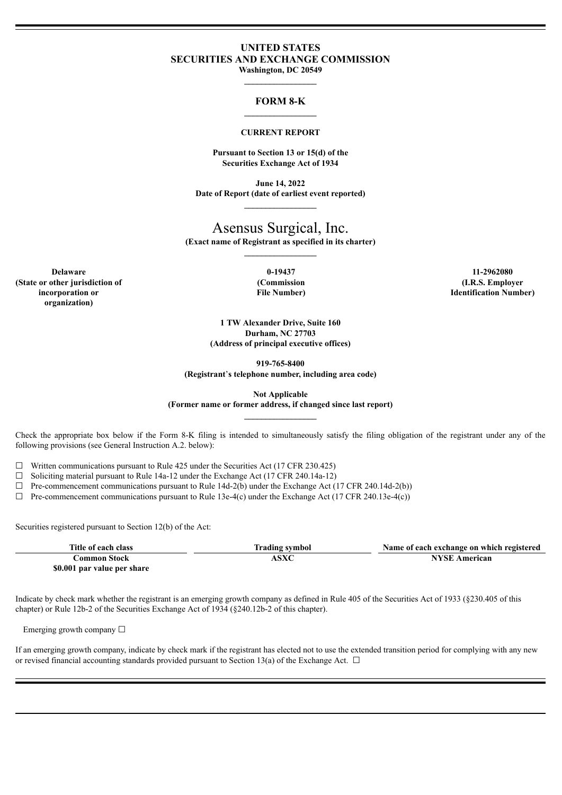# **UNITED STATES SECURITIES AND EXCHANGE COMMISSION**

**Washington, DC 20549 \_\_\_\_\_\_\_\_\_\_\_\_\_\_\_\_\_**

### **FORM 8-K \_\_\_\_\_\_\_\_\_\_\_\_\_\_\_\_\_**

#### **CURRENT REPORT**

**Pursuant to Section 13 or 15(d) of the Securities Exchange Act of 1934**

**June 14, 2022 Date of Report (date of earliest event reported)**

# Asensus Surgical, Inc.

**(Exact name of Registrant as specified in its charter)**

**Delaware 0-19437 11-2962080 (State or other jurisdiction of incorporation or organization)**

**(Commission File Number)**

**(I.R.S. Employer Identification Number)**

**1 TW Alexander Drive, Suite 160 Durham, NC 27703 (Address of principal executive offices)**

**919-765-8400**

**(Registrant**'**s telephone number, including area code)**

**Not Applicable**

**(Former name or former address, if changed since last report)**

Check the appropriate box below if the Form 8-K filing is intended to simultaneously satisfy the filing obligation of the registrant under any of the following provisions (see General Instruction A.2. below):

 $\Box$  Written communications pursuant to Rule 425 under the Securities Act (17 CFR 230.425)

 $\Box$  Soliciting material pursuant to Rule 14a-12 under the Exchange Act (17 CFR 240.14a-12)

 $\Box$  Pre-commencement communications pursuant to Rule 14d-2(b) under the Exchange Act (17 CFR 240.14d-2(b))

 $\Box$  Pre-commencement communications pursuant to Rule 13e-4(c) under the Exchange Act (17 CFR 240.13e-4(c))

Securities registered pursuant to Section 12(b) of the Act:

| Title of each class         | Trading symbol | Name of each exchange on which registered |
|-----------------------------|----------------|-------------------------------------------|
| Common Stock-               | <b>ASXC</b>    | <b>NYSE American</b>                      |
| \$0.001 par value per share |                |                                           |

Indicate by check mark whether the registrant is an emerging growth company as defined in Rule 405 of the Securities Act of 1933 (§230.405 of this chapter) or Rule 12b-2 of the Securities Exchange Act of 1934 (§240.12b-2 of this chapter).

Emerging growth company  $\Box$ 

If an emerging growth company, indicate by check mark if the registrant has elected not to use the extended transition period for complying with any new or revised financial accounting standards provided pursuant to Section 13(a) of the Exchange Act.  $\Box$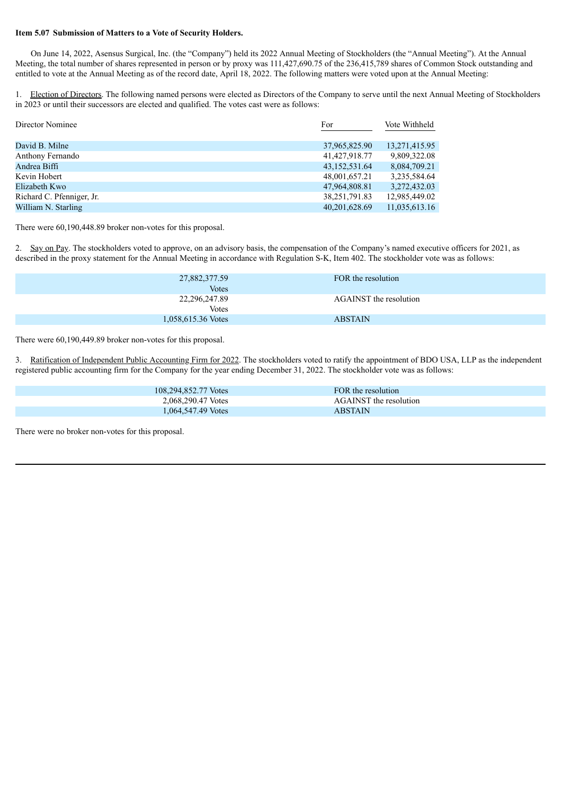### **Item 5.07 Submission of Matters to a Vote of Security Holders.**

On June 14, 2022, Asensus Surgical, Inc. (the "Company") held its 2022 Annual Meeting of Stockholders (the "Annual Meeting"). At the Annual Meeting, the total number of shares represented in person or by proxy was 111,427,690.75 of the 236,415,789 shares of Common Stock outstanding and entitled to vote at the Annual Meeting as of the record date, April 18, 2022. The following matters were voted upon at the Annual Meeting:

1. Election of Directors. The following named persons were elected as Directors of the Company to serve until the next Annual Meeting of Stockholders in 2023 or until their successors are elected and qualified. The votes cast were as follows:

| Director Nominee          | For           | Vote Withheld |
|---------------------------|---------------|---------------|
|                           |               |               |
| David B. Milne            | 37,965,825.90 | 13,271,415.95 |
| Anthony Fernando          | 41,427,918.77 | 9,809,322.08  |
| Andrea Biffi              | 43,152,531.64 | 8,084,709.21  |
| Kevin Hobert              | 48,001,657.21 | 3,235,584.64  |
| Elizabeth Kwo             | 47,964,808.81 | 3,272,432.03  |
| Richard C. Pfenniger, Jr. | 38,251,791.83 | 12,985,449.02 |
| William N. Starling       | 40,201,628.69 | 11,035,613.16 |

There were 60,190,448.89 broker non-votes for this proposal.

2. Say on Pay. The stockholders voted to approve, on an advisory basis, the compensation of the Company's named executive officers for 2021, as described in the proxy statement for the Annual Meeting in accordance with Regulation S-K, Item 402. The stockholder vote was as follows:

| 27,882,377.59<br><b>Votes</b> | FOR the resolution     |
|-------------------------------|------------------------|
| 22,296,247.89<br>Votes        | AGAINST the resolution |
| 1,058,615.36 Votes            | <b>ABSTAIN</b>         |

There were 60,190,449.89 broker non-votes for this proposal.

3. Ratification of Independent Public Accounting Firm for 2022. The stockholders voted to ratify the appointment of BDO USA, LLP as the independent registered public accounting firm for the Company for the year ending December 31, 2022. The stockholder vote was as follows:

| 108,294,852.77 Votes | FOR the resolution            |  |
|----------------------|-------------------------------|--|
| 2,068,290.47 Votes   | <b>AGAINST</b> the resolution |  |
| 1,064,547.49 Votes   | ABSTAIN                       |  |

There were no broker non-votes for this proposal.